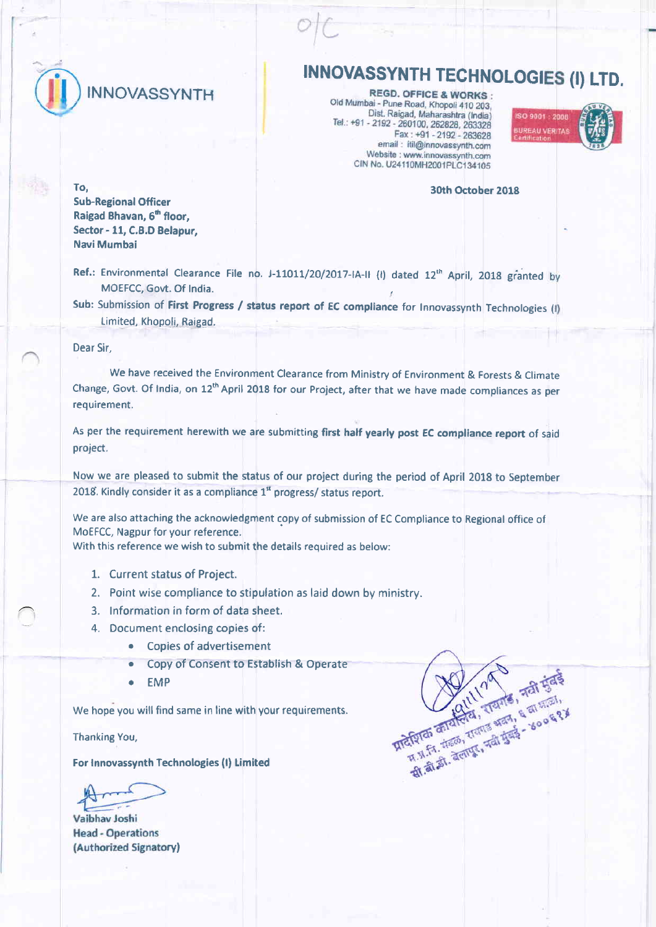

# INNOVASSYNTH TECHNOLOGIES (I) LTD.

Old Mumbai - Pune Road, Khopoli 410 203, Dist. Raigad, Maharashtra (India) Tel.: +91 - 2192 - 260100, 262828, 263328<br>Fax: +91 - 2192 - 260100, 262828, 263328 email: itil@innovassynth.com Website : www.innovassynth.com CIN No. U24110MH2001PLC134105



#### 30th October 2018

**MARIA STRANGE REAL PROPERTY AND REAL PROPERTY** 

REAGALLY TOURS, TALKS & SOOR **Exploration of the South of the South of the South of the South of the South of the South of the South of the South of the South of the South of the South of the South of the South of the South of the South of the South o** 

Sub-Regional Officer Raigad Bhavan, 6<sup>th</sup> floor, Sector - 11, C.B.D Belapur, Navi Mumbai

Ref.: Environmental Clearance File no. J-11011/20/2017-IA-II (I) dated 12<sup>th</sup> April, 2018 granted MOEFCC, Govt. Of India.

Sub: Submission of First Progress / status report of EC compliance for Innovassynth Technologies (I) Limited, Khopoli, Raigad.

#### Dear Sir,

To,

We have received the Environment Clearance from Ministry of Environment & Forests & Climate Change, Govt. Of India, on 12<sup>th</sup> April 2018 for our Project, after that we have made compliances as per requirement.

As per the requirement herewith we are submitting first half yearly post EC compliance report of said project.

Now we are pleased to submit the status of our project during the period of April 2018 to September 2018, Kindly consider it as a compliance 1" progress/ status report.

We are also attaching the acknowledgment copy of submission of EC Compliance to Regional office of MoEFCC, Nagpur for your reference. With this reference we wish to submit the details required as below:

- 1. Current status of Project.
- 2. Point wise compliance to stipulation as laid down by ministry.
- 3. lnformation in form of data sheet.
- 4. Document enclosing copies of:
	- . Copies of advertisement
	- . Copy of Consent to Establish & operate
	- **EMP**

We hope you will find same in line with your requirements.

Thanking You,

For Innovassynth Technologies (l) limited

Vaibhav Joshi **Head - Operations** (Authorized Signatory)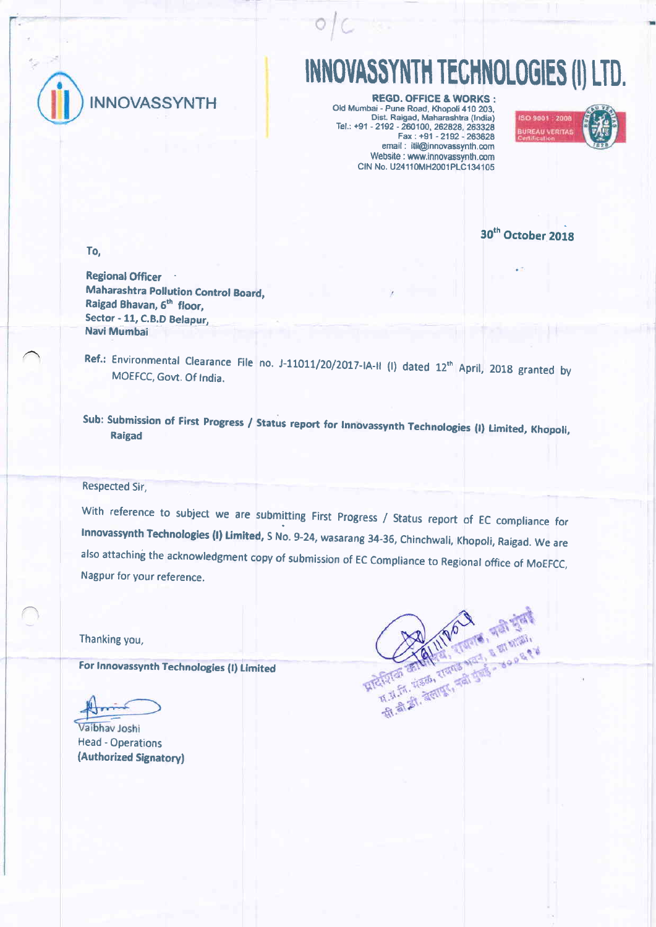

# INNOVASSYNTH TECHNOLOGIES (I) LTD.

**REGD. OFFICE & WORKS:** Old Mumbai - Pune Road, Khopoli 410 203. Dist. Ra'qad, Maharashtra {lndia) Tel.: +91 - 2192 - 260100, 262828, 263328  $Fax : +91 - 2192 - 263628$ email : itil@innovassynth.com Website : www.innovassynth.com CIN No. U24110MH2001PLC134105



30<sup>th</sup> October 2018

To,

Regional Officer Maharashtra Pollution Control Board, Raigad Bhavan, 6th floor, Sector - 11, C.B.D Belapur, Navi Mumbai

Ref.: Environmental Clearance File no. J-11011/20/2017-IA-II (I) dated 12<sup>th</sup> April, 2018 granted by<br>MOEECC Gove Of Ladia MOEFCC, Govt, Of India.

sub: Submission of First Progress / status report for Innovassynth Technologies (l) Limited, Khopoli, Raigad

Respected Sir,

With reference to subject we are submitting First Progress / Status report of EC compliance for Innovassynth Technologies (I) Limited, S No. 9-24, wasarang 34-36, Chinchwali, Khopoli, Raigad. We are also attaching the acknowledgment copy of submission of EC Compliance to Regional office of MoEFCC, Nagpur for your reference.

Thanking you,

For Innovassynth Technologies (I) Limited

Vaibhav Joshi Head - Operations {Authorized Signatoryf

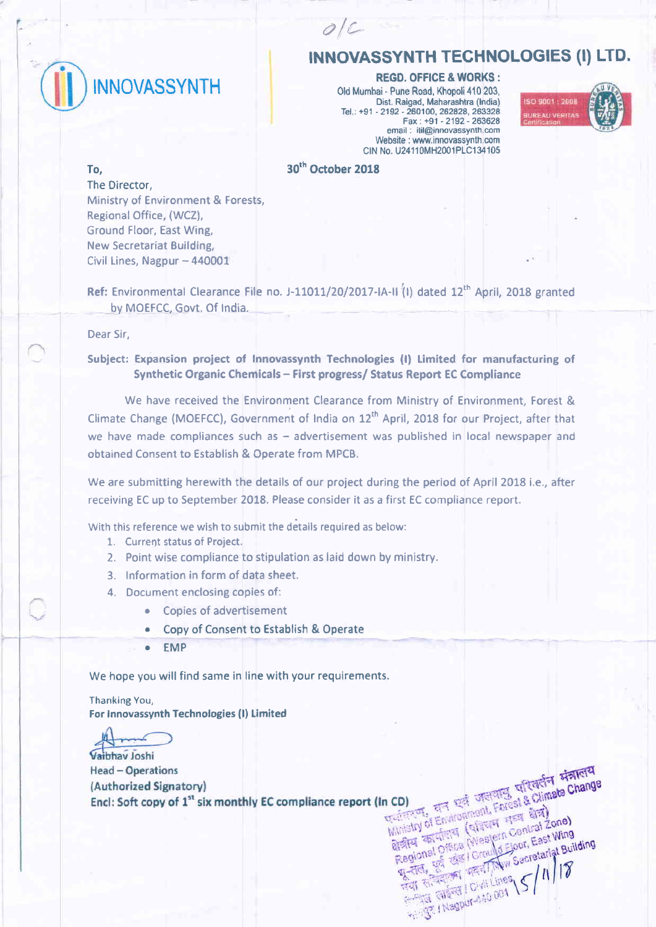

# INNOVASSYNTH TECHNOLOGIES (I) LTD.

REGD. OFFICE & WORKS:

Old Mumbei - Pune Road, Khopoli 410 203, Dist. Raigad, Maharashtra (India) Tel.: +91 - 2192 - 260100, 262829, 263328 Fax: +91 -2192-263628 email : itil@innovassynth.com Website : www.innovassynth.com CIN No. U24110MH2001PLC134105



30<sup>th</sup> October 2018

 $O/C$ 

#### To,

The Director, Ministry of Environment & Forests, Regional Office, (WCZ), Ground Floor, East Wing, New Secretariat Building, Civil Lines, Nagpur - 440001

Ref: Environmental Clearance File no. J-11011/20/2017-IA-II<sup>(1)</sup> dated  $12<sup>th</sup>$  April, 2018 granted by MOEFCC, Govt. Of India.

Dear Sir,

# Subject: Expansion project of Innovassynth Technologies (I) Limited for manufacturing of Synthetic Organic Chemicals - First progress/ Status Report EC Compliance

We have received the Environment Clearance from Ministry of Environment, Forest & Climate Change (MOEFCC), Government of India on 12<sup>th</sup> April, 2018 for our Project, after that we have made compliances such as  $-$  advertisement was published in local newspaper and obtained Consent to Establish & Operate from MPCB.

We are submitting herewith the details of our project during the period of April 2018 i.e., after receiving EC up to September 2018. Please consider it as a first EC compliance report.

With this reference we wish to submit the details required as below:

- 1. Current status of Project.
- 2. Point wise compliance to stipulation as laid down by ministry.
- 3. lnformation in form of data sheet.
- 4. Document enclosing copies of:
	- Copies of advertisement
	- Copy of Consent to Establish & Operate a
	- EMP a

We hope you will find same in line with your requirements.

Thanking You, For Innovassynth Technologies (l) Limited

Vaihhay Joshi **Head - Operations** (Authorized Signatory) Encl: Soft copy of 1<sup>st</sup> six monthly EC compliance report (In CD) EDITE TRACK Farest a and Regional Office (Western Central Zone)

n CD)<br>Existent of Environment Forest & Climate Change<br>Ministry of Environment Forest & Climate Change Ministry of Environment Farest & Climate Change<br>Ministry of Environment Farest & Climate Change<br>Ministry of Environment Farest & Climate Change

ern Cont. East Wing<br>Secretariat Building

Regional Office (Western Central Zone)<br>Regional Office (Western Central Zone)<br>Regional Office (Crould Ejour, East Wing<br>Regional Essex | Crould Ejour, Secretariat Bull

**A THE RESIDENCE OF A LIDES \S / N / 17** 

सूचता, जुला कहा

**AS I Institute 001**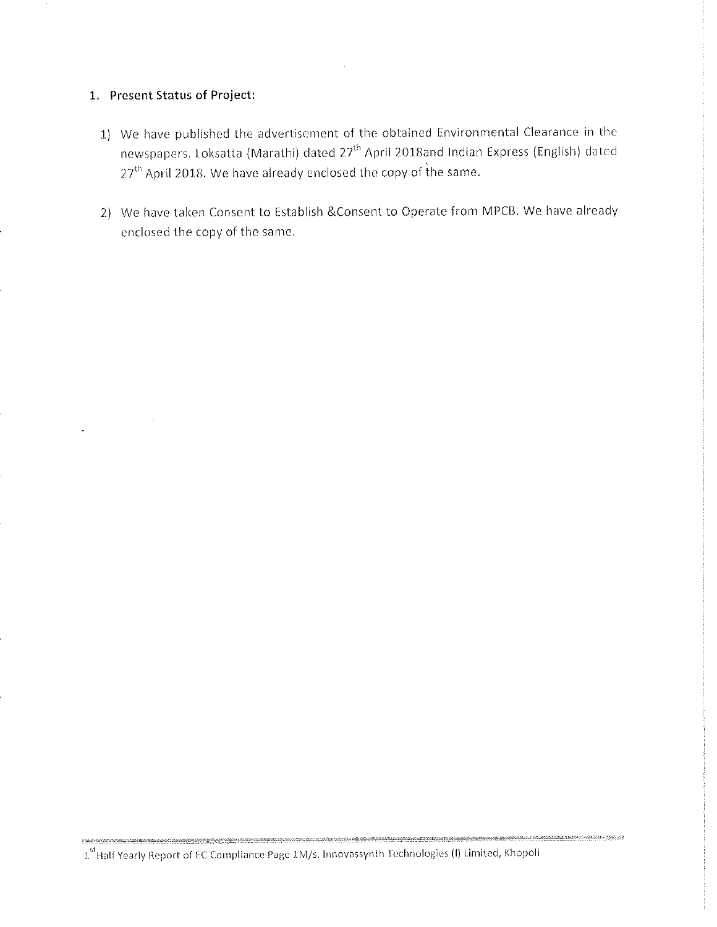# 1. Present Status of Project:

- 1) We have published the advertisement of the obtained Environmental Clearance in the newspapers. Loksatta (Marathi) dated 27<sup>th</sup> April 2018and Indian Express (English) dated 27<sup>th</sup> April 2018. We have already enclosed the copy of the same.
- 2) We have taken Consent to Establish & Consent to Operate from MPCB. We have already enclosed the copy of the same.

**MARAMANIA** ARABA A SANTA REPORTA A MAR

<sup>1&</sup>lt;sup>st</sup> Half Yearly Report of EC Compliance Page 1M/s. Innovassynth Technologies (I) Limited, Khopoli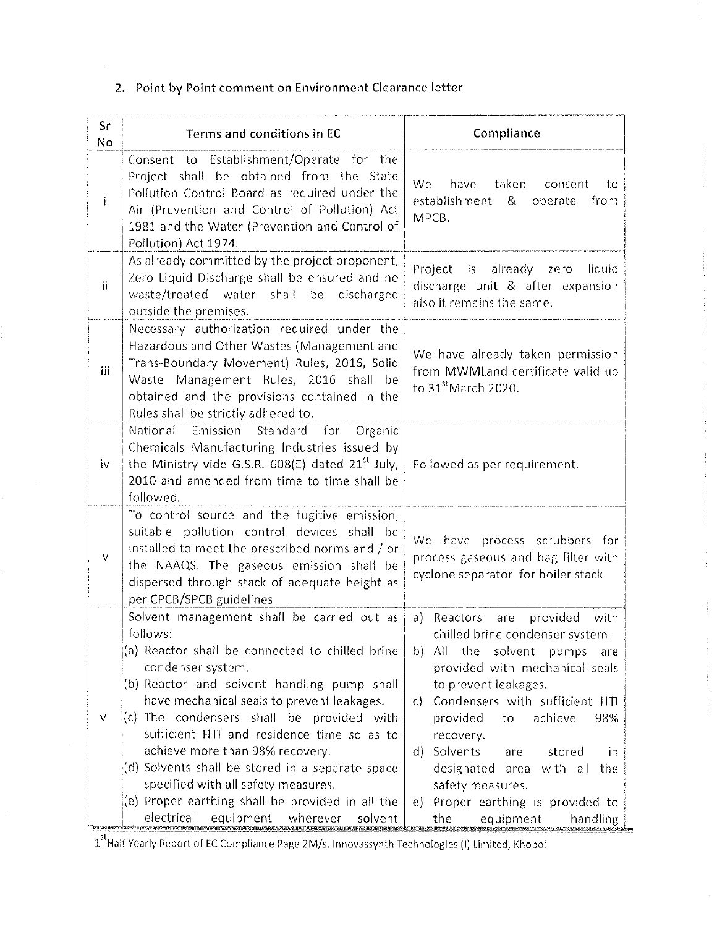# 2. Point by Point comment on Environment Clearance letter

| Sr<br>No | Terms and conditions in EC                                                                                                                                                                                                                                                                                                                                                                                                                                                                                                                                 | Compliance                                                                                                                                                                                                                                                                                                                                                                                                                                                      |  |
|----------|------------------------------------------------------------------------------------------------------------------------------------------------------------------------------------------------------------------------------------------------------------------------------------------------------------------------------------------------------------------------------------------------------------------------------------------------------------------------------------------------------------------------------------------------------------|-----------------------------------------------------------------------------------------------------------------------------------------------------------------------------------------------------------------------------------------------------------------------------------------------------------------------------------------------------------------------------------------------------------------------------------------------------------------|--|
| İ        | Consent to Establishment/Operate for the<br>Project shall be obtained from the State<br>Pollution Control Board as required under the<br>Air (Prevention and Control of Pollution) Act<br>1981 and the Water (Prevention and Control of<br>Pollution) Act 1974.                                                                                                                                                                                                                                                                                            | We<br>taken<br>have<br>consent<br>to<br>establishment<br>&<br>from<br>operate<br>MPCB.                                                                                                                                                                                                                                                                                                                                                                          |  |
| ii.      | As already committed by the project proponent,<br>Zero Liquid Discharge shall be ensured and no<br>waste/treated water shall be<br>discharged<br>outside the premises.                                                                                                                                                                                                                                                                                                                                                                                     | Project is<br>already zero<br>liquid<br>discharge unit & after expansion<br>also it remains the same.                                                                                                                                                                                                                                                                                                                                                           |  |
| iii      | Necessary authorization required under the<br>Hazardous and Other Wastes (Management and<br>Trans-Boundary Movement) Rules, 2016, Solid<br>Waste Management Rules, 2016 shall<br>- be<br>obtained and the provisions contained in the<br>Rules shall be strictly adhered to.                                                                                                                                                                                                                                                                               | We have already taken permission<br>from MWMLand certificate valid up<br>to 31 <sup>st</sup> March 2020.                                                                                                                                                                                                                                                                                                                                                        |  |
| iv       | National<br>Emission Standard<br>for<br>Organic<br>Chemicals Manufacturing Industries issued by<br>the Ministry vide G.S.R. $608(E)$ dated $21^{st}$ July,<br>2010 and amended from time to time shall be<br>followed.                                                                                                                                                                                                                                                                                                                                     | Followed as per requirement.                                                                                                                                                                                                                                                                                                                                                                                                                                    |  |
| V        | To control source and the fugitive emission,<br>suitable pollution control devices shall be<br>installed to meet the prescribed norms and / or<br>the NAAQS. The gaseous emission shall be<br>dispersed through stack of adequate height as<br>per CPCB/SPCB guidelines                                                                                                                                                                                                                                                                                    | We have process scrubbers for<br>process gaseous and bag filter with<br>cyclone separator for boiler stack.                                                                                                                                                                                                                                                                                                                                                     |  |
| vi       | Solvent management shall be carried out as<br>follows:<br>(a) Reactor shall be connected to chilled brine<br>condenser system.<br>(b) Reactor and solvent handling pump shall<br>have mechanical seals to prevent leakages.<br>(c) The condensers shall be provided with<br>sufficient HTI and residence time so as to<br>achieve more than 98% recovery.<br>(d) Solvents shall be stored in a separate space<br>specified with all safety measures.<br>(e) Proper earthing shall be provided in all the<br>electrical<br>equipment<br>wherever<br>solvent | provided<br>a) Reactors<br>with<br>are<br>chilled brine condenser system.<br>solvent<br>$b)$ All<br>the<br>pumps<br>are<br>provided with mechanical seals<br>to prevent leakages.<br>Condensers with sufficient HTI<br>$\mathsf{C}$<br>provided<br>achieve<br>98%<br>to<br>recovery.<br>d) Solvents<br>stored<br>are<br>in<br>designated<br>area with all<br>the<br>safety measures.<br>Proper earthing is provided to<br>$e$ )<br>equipment<br>the<br>handling |  |

1<sup>st</sup> Half Yearly Report of EC Compliance Page 2M/s. Innovassynth Technologies (I) Limited, Khopoli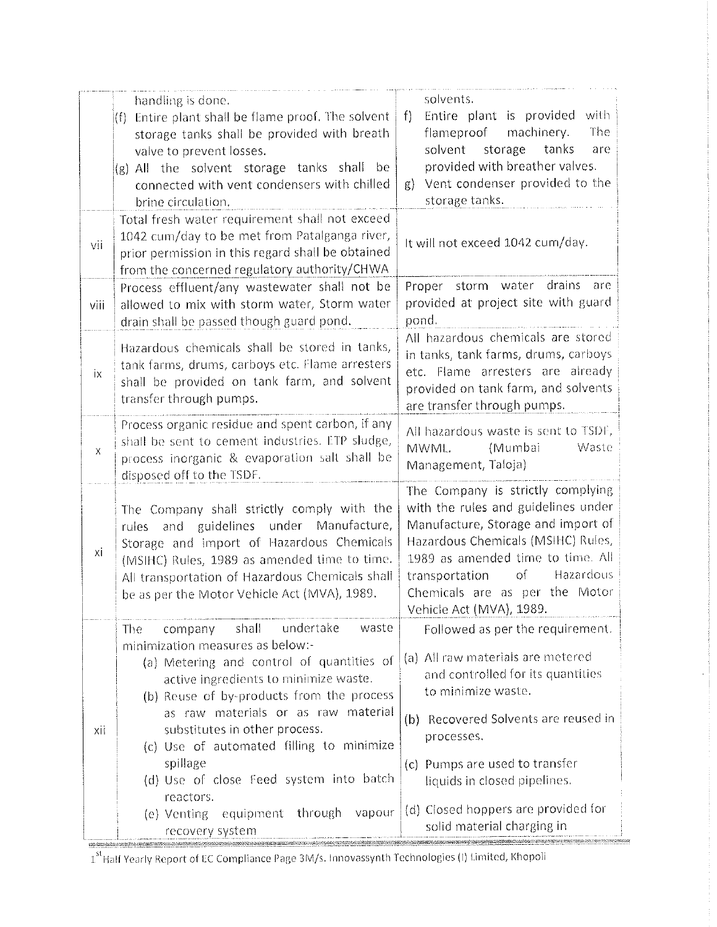|      | handling is done.<br>Entire plant shall be flame proof. The solvent<br>(f)<br>storage tanks shall be provided with breath<br>valve to prevent losses.<br>(g) All the solvent storage tanks shall be<br>connected with vent condensers with chilled<br>brine circulation.                                                                                                                                                                                             | solvents.<br>Entire plant is provided<br>with<br>f<br>flameproof machinery.<br>The<br>solvent<br>storage<br>tanks<br>are<br>provided with breather valves.<br>Vent condenser provided to the<br>$g$ )<br>storage tanks.                                                                                                       |  |
|------|----------------------------------------------------------------------------------------------------------------------------------------------------------------------------------------------------------------------------------------------------------------------------------------------------------------------------------------------------------------------------------------------------------------------------------------------------------------------|-------------------------------------------------------------------------------------------------------------------------------------------------------------------------------------------------------------------------------------------------------------------------------------------------------------------------------|--|
| vii  | Total fresh water requirement shall not exceed<br>1042 cum/day to be met from Patalganga river,<br>prior permission in this regard shall be obtained<br>from the concerned regulatory authority/CHWA                                                                                                                                                                                                                                                                 | It will not exceed 1042 cum/day.                                                                                                                                                                                                                                                                                              |  |
| viii | Process effluent/any wastewater shall not be<br>allowed to mix with storm water, Storm water<br>drain shall be passed though guard pond.                                                                                                                                                                                                                                                                                                                             | Proper storm water drains<br>are<br>provided at project site with guard<br>pond.                                                                                                                                                                                                                                              |  |
| iх   | Hazardous chemicals shall be stored in tanks,<br>tank farms, drums, carboys etc. Flame arresters<br>shall be provided on tank farm, and solvent<br>transfer through pumps.                                                                                                                                                                                                                                                                                           | All hazardous chemicals are stored<br>in tanks, tank farms, drums, carboys<br>etc. Flame arresters are already<br>provided on tank farm, and solvents<br>are transfer through pumps.                                                                                                                                          |  |
| X    | Process organic residue and spent carbon, if any<br>shall be sent to cement industries. ETP sludge,<br>process inorganic & evaporation salt shall be<br>disposed off to the TSDF.                                                                                                                                                                                                                                                                                    | All hazardous waste is sent to TSDF,<br>(Mumbai<br>Waste<br>MWML.<br>Management, Taloja)                                                                                                                                                                                                                                      |  |
| хi   | The Company shall strictly comply with the<br>and guidelines under Manufacture,<br>rules<br>Storage and import of Hazardous Chemicals<br>(MSIHC) Rules, 1989 as amended time to time.<br>All transportation of Hazardous Chemicals shall<br>be as per the Motor Vehicle Act (MVA), 1989.                                                                                                                                                                             | The Company is strictly complying<br>with the rules and guidelines under<br>Manufacture, Storage and import of<br>Hazardous Chemicals (MSIHC) Rules,<br>1989 as amended time to time. All<br>of Hazardous<br>transportation<br>Chemicals are as per the Motor<br>Vehicle Act (MVA), 1989                                      |  |
| xii  | company shall undertake<br>waste<br>The<br>minimization measures as below:-<br>(a) Metering and control of quantities of<br>active ingredients to minimize waste.<br>(b) Reuse of by-products from the process<br>as raw materials or as raw material<br>substitutes in other process.<br>(c) Use of automated filling to minimize<br>spillage<br>(d) Use of close Feed system into batch<br>reactors.<br>(e) Venting equipment through<br>vapour<br>recovery system | Followed as per the requirement.<br>(a) All raw materials are metered<br>and controlled for its quantities<br>to minimize waste.<br>(b) Recovered Solvents are reused in<br>processes.<br>(c) Pumps are used to transfer<br>liquids in closed pipelines.<br>(d) Closed hoppers are provided for<br>solid material charging in |  |

1<sup>st</sup> Half Yearly Report of EC Compliance Page 3M/s. Innovassynth Technologies (I) Limited, Khopoli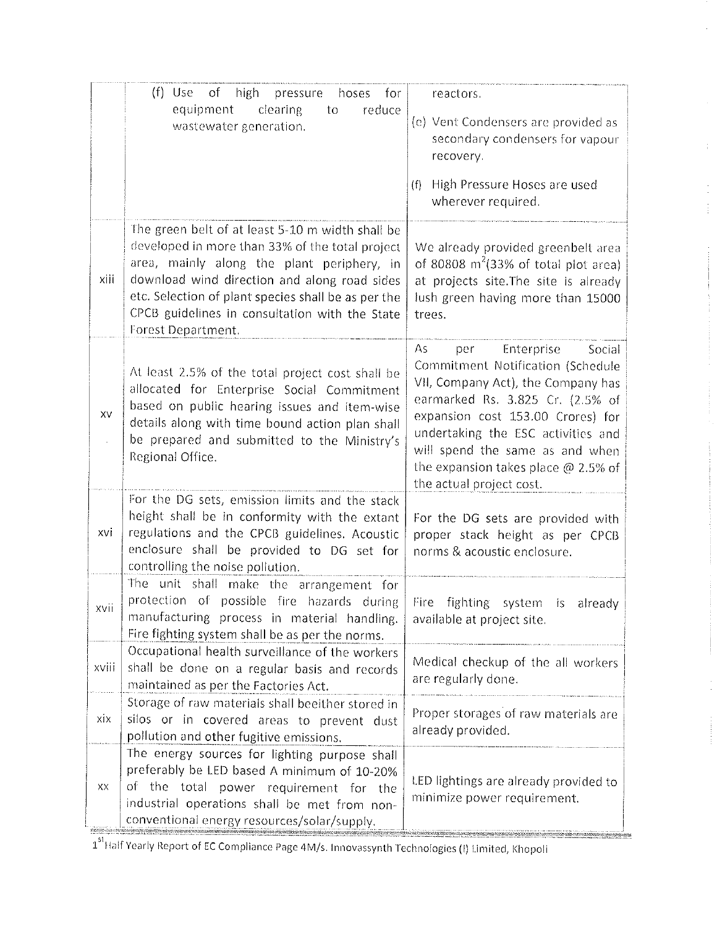|       | $(f)$ Use<br>of high<br>pressure<br>hoses<br>for<br>reduce<br>equipment<br>clearing<br>to<br>wastewater generation.                                                                                                                                                                                                              | reactors.<br>(e) Vent Condensers are provided as<br>secondary condensers for vapour<br>recovery.<br>High Pressure Hoses are used<br>(f)<br>wherever required.                                                                                                                                                                     |
|-------|----------------------------------------------------------------------------------------------------------------------------------------------------------------------------------------------------------------------------------------------------------------------------------------------------------------------------------|-----------------------------------------------------------------------------------------------------------------------------------------------------------------------------------------------------------------------------------------------------------------------------------------------------------------------------------|
| xiii  | The green belt of at least 5-10 m width shall be<br>developed in more than 33% of the total project<br>area, mainly along the plant periphery, in<br>download wind direction and along road sides<br>etc. Selection of plant species shall be as per the<br>CPCB guidelines in consultation with the State<br>Forest Department. | We already provided greenbelt area<br>of 80808 $m2(33% of total plot area)$<br>at projects site. The site is already<br>lush green having more than 15000<br>trees.                                                                                                                                                               |
| XV    | At least 2.5% of the total project cost shall be<br>allocated for Enterprise Social Commitment<br>based on public hearing issues and item-wise<br>details along with time bound action plan shall<br>be prepared and submitted to the Ministry's<br>Regional Office.                                                             | Enterprise<br>Social<br>As<br>per<br>Commitment Notification (Schedule<br>VII, Company Act), the Company has<br>earmarked Rs. 3.825 Cr. (2.5% of<br>expansion cost 153.00 Crores) for<br>undertaking the ESC activities and<br>will spend the same as and when<br>the expansion takes place @ 2.5% of<br>the actual project cost. |
| xvi   | For the DG sets, emission limits and the stack<br>height shall be in conformity with the extant<br>regulations and the CPCB guidelines. Acoustic<br>enclosure shall be provided to DG set for<br>controlling the noise pollution.                                                                                                | For the DG sets are provided with<br>proper stack height as per CPCB<br>norms & acoustic enclosure.                                                                                                                                                                                                                               |
| XVII  | The unit shall make the arrangement for<br>protection of possible fire hazards during<br>manufacturing process in material handling.<br>Fire fighting system shall be as per the norms.                                                                                                                                          | Fire<br>fighting system is already<br>available at project site.                                                                                                                                                                                                                                                                  |
| xviii | Occupational health surveillance of the workers<br>shall be done on a regular basis and records<br>maintained as per the Factories Act.                                                                                                                                                                                          | Medical checkup of the all workers<br>are regularly done.                                                                                                                                                                                                                                                                         |
| xix   | Storage of raw materials shall beeither stored in<br>silos or in covered areas to prevent dust<br>pollution and other fugitive emissions.                                                                                                                                                                                        | Proper storages of raw materials are<br>already provided.                                                                                                                                                                                                                                                                         |
| XX    | The energy sources for lighting purpose shall<br>preferably be LED based A minimum of 10-20%<br>of the total power requirement for the<br>industrial operations shall be met from non-<br>conventional energy resources/solar/supply.                                                                                            | LED lightings are already provided to<br>minimize power requirement.                                                                                                                                                                                                                                                              |

 $\frac{1}{4}$ 

)<br>1

1<sup>st</sup> Half Yearly Report of EC Compliance Page 4M/s. Innovassynth Technologies (I) Limited, Khopoli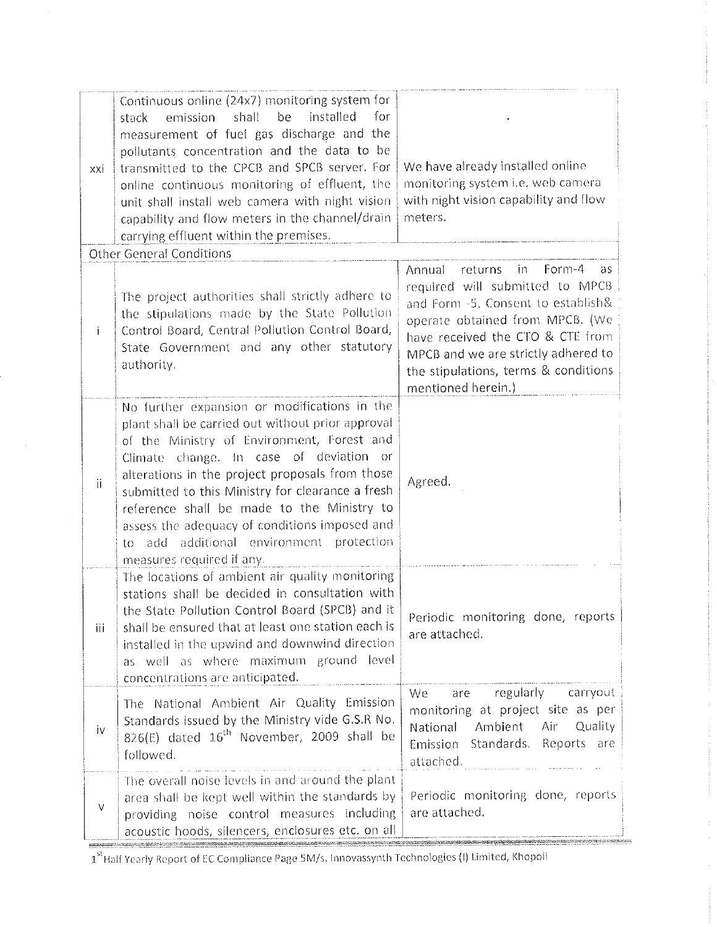| xxi | Continuous online (24x7) monitoring system for<br>be<br>installed<br>for<br>shall<br>emission<br>stack<br>measurement of fuel gas discharge and the<br>pollutants concentration and the data to be<br>transmitted to the CPCB and SPCB server. For<br>online continuous monitoring of effluent, the<br>unit shall install web camera with night vision<br>capability and flow meters in the channel/drain<br>carrying effluent within the premises.                             | We have already installed online<br>monitoring system i.e. web camera<br>with night vision capability and flow<br>meters.                                                                                                                                                                        |
|-----|---------------------------------------------------------------------------------------------------------------------------------------------------------------------------------------------------------------------------------------------------------------------------------------------------------------------------------------------------------------------------------------------------------------------------------------------------------------------------------|--------------------------------------------------------------------------------------------------------------------------------------------------------------------------------------------------------------------------------------------------------------------------------------------------|
|     | <b>Other General Conditions</b>                                                                                                                                                                                                                                                                                                                                                                                                                                                 |                                                                                                                                                                                                                                                                                                  |
| Ť   | The project authorities shall strictly adhere to<br>the stipulations made by the State Pollution<br>Control Board, Central Pollution Control Board,<br>State Government and any other statutory<br>authority.                                                                                                                                                                                                                                                                   | Annual<br>returns<br>$Form-4$<br>- in<br>as<br>required will submitted to MPCB<br>and Form -5. Consent to establish&<br>operate obtained from MPCB. (We<br>have received the CTO & CTE from<br>MPCB and we are strictly adhered to<br>the stipulations, terms & conditions<br>mentioned herein.) |
| jj. | No further expansion or modifications in the<br>plant shall be carried out without prior approval<br>of the Ministry of Environment, Forest and<br>Climate change. In case of deviation or<br>alterations in the project proposals from those<br>submitted to this Ministry for clearance a fresh<br>reference shall be made to the Ministry to<br>assess the adequacy of conditions imposed and<br>additional environment protection<br>add<br>to<br>measures required if any. | Agreed.                                                                                                                                                                                                                                                                                          |
| Ϊij | The locations of ambient air quality monitoring<br>stations shall be decided in consultation with<br>the State Pollution Control Board (SPCB) and it<br>shall be ensured that at least one station each is<br>installed in the upwind and downwind direction<br>as well as where maximum ground level<br>concentrations are anticipated.                                                                                                                                        | Periodic monitoring done, reports<br>are attached.                                                                                                                                                                                                                                               |
| İV  | The National Ambient Air Quality Emission<br>Standards issued by the Ministry vide G.S.R No.<br>826(E) dated $16^{\text{th}}$ November, 2009 shall be<br>followed.                                                                                                                                                                                                                                                                                                              | are regularly carryout<br>We<br>monitoring at project site as per<br>National Ambient Air Quality<br>Emission Standards. Reports are<br>attached.                                                                                                                                                |
| V   | The overall noise levels in and around the plant<br>area shall be kept well within the standards by<br>providing noise control measures including<br>acoustic hoods, silencers, enclosures etc. on all                                                                                                                                                                                                                                                                          | Periodic monitoring done, reports<br>are attached.                                                                                                                                                                                                                                               |

1<sup>st</sup> Half Yearly Report of EC Compliance Page 5M/s. Innovassynth Technologies (I) Limited, Khopoli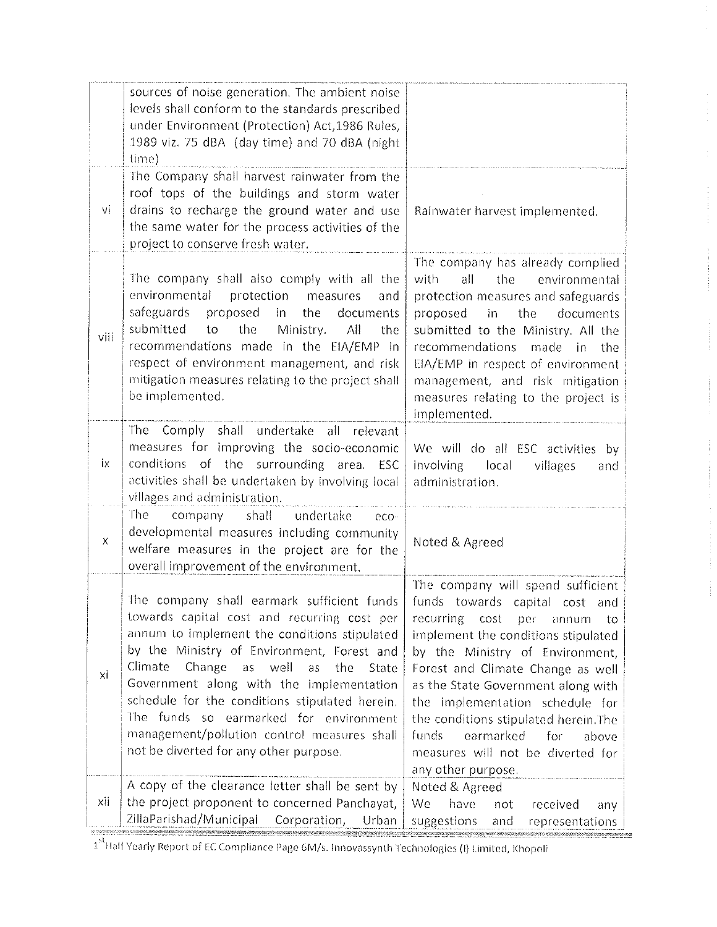|                    | sources of noise generation. The ambient noise<br>levels shall conform to the standards prescribed<br>under Environment (Protection) Act, 1986 Rules,<br>1989 viz. 75 dBA (day time) and 70 dBA (night<br>(lime)                                                                                                                                                                                                                                                                  |                                                                                                                                                                                                                                                                                                                                                                                                                                               |
|--------------------|-----------------------------------------------------------------------------------------------------------------------------------------------------------------------------------------------------------------------------------------------------------------------------------------------------------------------------------------------------------------------------------------------------------------------------------------------------------------------------------|-----------------------------------------------------------------------------------------------------------------------------------------------------------------------------------------------------------------------------------------------------------------------------------------------------------------------------------------------------------------------------------------------------------------------------------------------|
| vi                 | The Company shall harvest rainwater from the<br>roof tops of the buildings and storm water<br>drains to recharge the ground water and use<br>the same water for the process activities of the<br>project to conserve fresh water.                                                                                                                                                                                                                                                 | Rainwater harvest implemented.                                                                                                                                                                                                                                                                                                                                                                                                                |
| viii               | The company shall also comply with all the<br>environmental<br>protection<br>measures<br>and<br>safeguards<br>proposed<br>in l<br>the<br>documents<br>submitted<br>to<br>the<br>Ministry.<br>АII<br>the<br>recommendations made in the EIA/EMP in<br>respect of environment management, and risk<br>mitigation measures relating to the project shall<br>be implemented.                                                                                                          | The company has already complied<br>all<br>the<br>with<br>environmental<br>protection measures and safeguards<br>proposed<br>the<br>documents<br>in<br>submitted to the Ministry. All the<br>recommendations<br>made in<br>the<br>EIA/EMP in respect of environment<br>management, and risk mitigation<br>measures relating to the project is<br>implemented.                                                                                 |
| İХ                 | The Comply shall undertake<br>all relevant<br>measures for improving the socio-economic<br>conditions of the surrounding<br>area.<br><b>ESC</b><br>activities shall be undertaken by involving local<br>villages and administration.                                                                                                                                                                                                                                              | We will do all ESC activities by<br>involving local<br>villages<br>and<br>administration.                                                                                                                                                                                                                                                                                                                                                     |
| $\pmb{\mathsf{X}}$ | The<br>shall<br>company<br>undertake<br>eco-<br>developmental measures including community<br>welfare measures in the project are for the<br>overall improvement of the environment.                                                                                                                                                                                                                                                                                              | Noted & Agreed                                                                                                                                                                                                                                                                                                                                                                                                                                |
| хi                 | The company shall earmark sufficient funds<br>towards capital cost and recurring cost per<br>annum to implement the conditions stipulated<br>by the Ministry of Environment, Forest and<br>Climate<br>Change<br>well<br>as<br>as<br>the<br>State<br>Government along with the implementation<br>schedule for the conditions stipulated herein.<br>The funds so earmarked for environment<br>management/pollution control measures shall<br>not be diverted for any other purpose. | The company will spend sufficient<br>funds towards capital cost<br>and<br>recurring cost per<br>annum<br>tο<br>implement the conditions stipulated<br>by the Ministry of Environment,<br>Forest and Climate Change as well<br>as the State Government along with<br>the implementation schedule for<br>the conditions stipulated herein. The<br>funds<br>earmarked<br>for<br>above<br>measures will not be diverted for<br>any other purpose. |
| хij                | A copy of the clearance letter shall be sent by<br>the project proponent to concerned Panchayat,<br>ZillaParishad/Municipal<br>Corporation,<br>Urban                                                                                                                                                                                                                                                                                                                              | Noted & Agreed<br>We<br>have<br>received<br>not<br>any<br>suggestions<br>and<br>representations                                                                                                                                                                                                                                                                                                                                               |

 $\frac{1}{2}$ 

1<sup>34</sup> Half Yearly Report of EC Compliance Page 6M/s. Innovassynth Technologies (I) Limited, Khopoli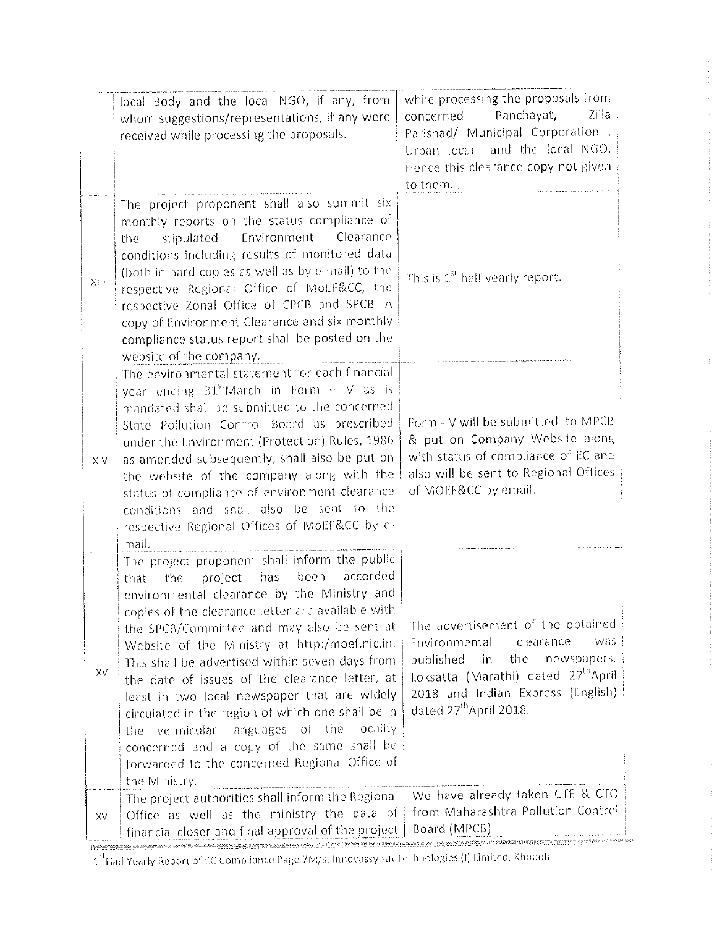|      | local Body and the local NGO, if any, from<br>whom suggestions/representations, if any were<br>received while processing the proposals.                                                                                                                                                                                                                                                                                                                                                                                                                                                                                                                                       | while processing the proposals from<br>Zilla<br>Panchayat,<br>concerned<br>Parishad/ Municipal Corporation,<br>Urban local and the local NGO.<br>Hence this clearance copy not given<br>to them.                                                |
|------|-------------------------------------------------------------------------------------------------------------------------------------------------------------------------------------------------------------------------------------------------------------------------------------------------------------------------------------------------------------------------------------------------------------------------------------------------------------------------------------------------------------------------------------------------------------------------------------------------------------------------------------------------------------------------------|-------------------------------------------------------------------------------------------------------------------------------------------------------------------------------------------------------------------------------------------------|
| xiii | The project proponent shall also summit six<br>monthly reports on the status compliance of<br>Environment<br>Clearance<br>stipulated<br>the<br>conditions including results of monitored data<br>(both in hard copies as well as by e-mail) to the<br>respective Regional Office of MoEF&CC, the<br>respective Zonal Office of CPCB and SPCB. A<br>copy of Environment Clearance and six monthly<br>compliance status report shall be posted on the<br>website of the company.                                                                                                                                                                                                | This is 1 <sup>st</sup> half yearly report.                                                                                                                                                                                                     |
| xiv  | The environmental statement for each financial<br>year ending $31st$ March in Form - V as is<br>mandated shall be submitted to the concerned<br>State Pollution Control Board as prescribed<br>under the Environment (Protection) Rules, 1986<br>as amended subsequently, shall also be put on<br>the website of the company along with the<br>status of compliance of environment clearance<br>conditions and shall also be sent to the<br>respective Regional Offices of MoEF&CC by e-<br>mail.                                                                                                                                                                             | Form - V will be submitted to MPCB<br>& put on Company Website along<br>with status of compliance of EC and<br>also will be sent to Regional Offices<br>of MOEF&CC by email.                                                                    |
| XV   | The project proponent shall inform the public<br>accorded<br>has<br>been<br>project<br>the<br>that<br>environmental clearance by the Ministry and<br>copies of the clearance letter are available with<br>the SPCB/Committee and may also be sent at<br>Website of the Ministry at http:/moef.nic.in.<br>This shall be advertised within seven days from<br>the date of issues of the clearance letter, at<br>least in two local newspaper that are widely<br>circulated in the region of which one shall be in<br>vermicular languages of the locality<br>the<br>concerned and a copy of the same shall be<br>forwarded to the concerned Regional Office of<br>the Ministry. | The advertisement of the obtained<br>clearance<br>was.<br>Environmental<br>published<br>in.<br>the<br>newspapers,<br>Loksatta (Marathi) dated 27 <sup>th</sup> April<br>2018 and Indian Express (English)<br>dated 27 <sup>th</sup> April 2018. |
| xvi  | The project authorities shall inform the Regional<br>Office as well as the ministry the data of<br>financial closer and final approval of the project                                                                                                                                                                                                                                                                                                                                                                                                                                                                                                                         | We have already taken CTE & CTO<br>from Maharashtra Pollution Control<br>Board (MPCB).                                                                                                                                                          |

1<sup>st</sup>Half Yearly Report of EC Compliance Page 7M/s. Innovassynth Technologies (I) Limited, Khopoli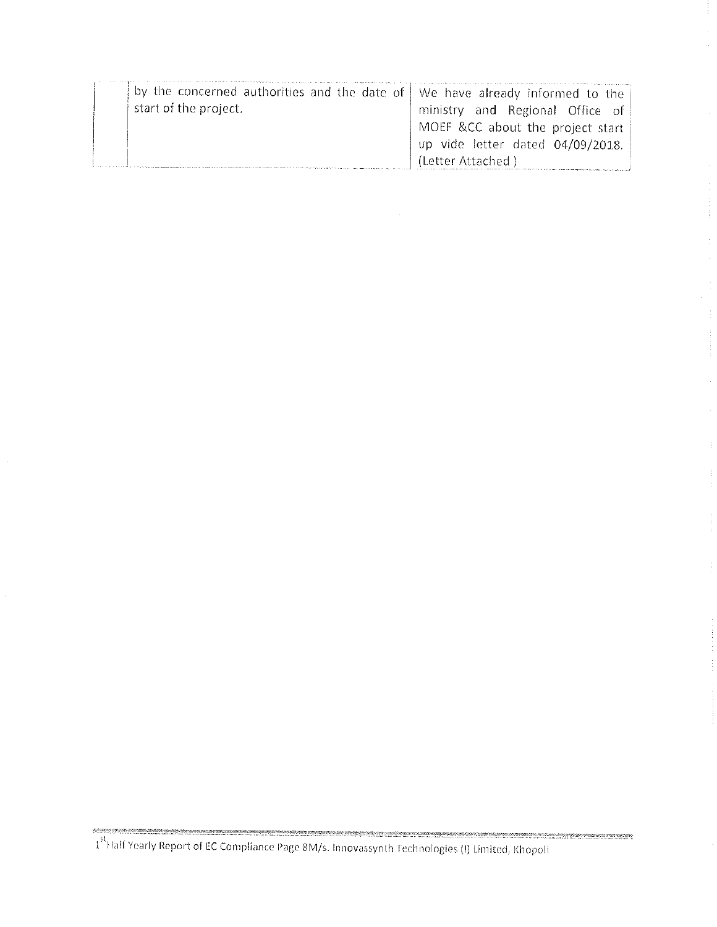| by the concerned authorities and the date of   We have already informed to the |                                  |
|--------------------------------------------------------------------------------|----------------------------------|
| start of the project.                                                          | ministry and Regional Office of  |
|                                                                                | MOEF &CC about the project start |
|                                                                                | up vide letter dated 04/09/2018. |
|                                                                                | (Letter Attached)                |

 $\bar{z}$ 

asteroide and the United States of the Compliance Page 8M/s. Innovassynth Technologies (I) Limited, Khopoli and The United States of the Compliance Page 8M/s. Innovassynth Technologies (I) Limited, Khopoli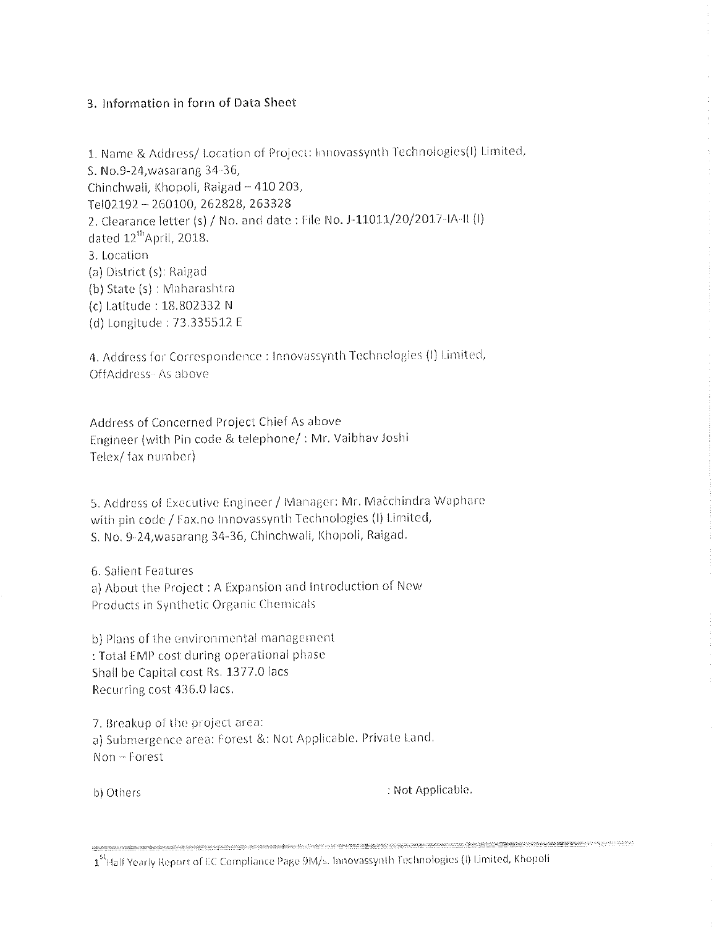# 3. Information in form of Data Sheet

1. Name & Address/ Location of Project: Innovassynth Technologies(I) Limited, S. No.9-24, wasarang 34-36, Chinchwali, Khopoli, Raigad - 410 203, Tel02192-260100, 262828, 263328 2. Clearance letter (s) / No. and date : File No. J-11011/20/2017-IA-II (I) dated 12<sup>th</sup>April, 2018. 3. Location (a) District (s): Ralgad (b) State (s) : Maharashtra (c) Latitude: 18.802332 N (d) Longitude: 73.335512 E

4. Address for Correspondence : Innovassynth Technologies (I) Limited, OffAddress-As above

Address of Concerned Project Chief As above Engineer (with Pin code & telephone/: Mr. Vaibhav Joshi Telex/fax number)

5. Address of Executive Engineer / Manager: Mr. Macchindra Waphare with pin code / Fax.no Innovassynth Technologies (I) Limited, S. No. 9-24, wasarang 34-36, Chinchwali, Khopoli, Raigad.

6. Salient Features a) About the Project: A Expansion and Introduction of New Products in Synthetic Organic Chemicals

b) Plans of the environmental management : Total EMP cost during operational phase Shall be Capital cost Rs. 1377.0 lacs Recurring cost 436.0 lacs.

7. Breakup of the project area: a) Submergence area: Forest &: Not Applicable. Private Land. Non-Forest

b) Others

: Not Applicable.

1<sup>st</sup> Half Yearly Report of EC Compliance Page 9M/s. Innovassynth Technologies (I) Limited, Khopoli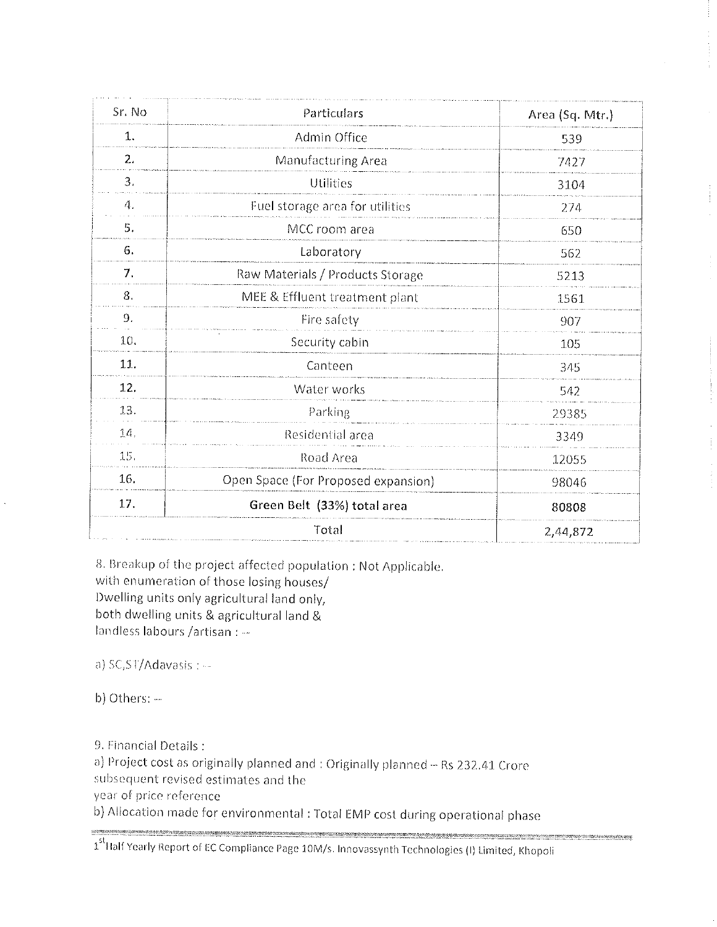| Sr. No          | Particulars                         | Area (Sq. Mtr.) |
|-----------------|-------------------------------------|-----------------|
| 1.              | Admin Office                        | 539             |
| $\mathfrak{2}.$ | Manufacturing Area                  | 7427            |
| 3.              | Utilities                           | 3104            |
| 4.              | Fuel storage area for utilities     | 274             |
| 5.              | MCC room area                       | 650             |
| 6.              | Laboratory                          | 562             |
| 7.              | Raw Materials / Products Storage    | 5213            |
| 8.              | MEE & Effluent treatment plant      | 1561            |
| $\mathcal{S}$ . | Fire safety                         | 907             |
| 10.             | Security cabin                      | 10 <sub>5</sub> |
| 11.             | Canteen                             | 345             |
| 12.             | Water works                         | 542             |
| 13.             | Parking                             | 29385           |
| 10.             | Residential area                    | 3349            |
| 15.             | Road Area                           | 12055           |
| 16.             | Open Space (For Proposed expansion) | 98046           |
| 17.             | Green Belt (33%) total area         | 80808           |
|                 | Total                               | 2,44,872        |

8. Breakup of the project affected population : Not Applicable. with enumeration of those losing houses/ Dwelling units only agricultural land only, both dwelling units & agricultural land & landless labours /artisan : --

a) SC,ST/Adavasis : ---

b) Others: ---

RAMANTARANTAR

9. Financial Details:

a) Project cost as originally planned and : Originally planned - Rs 232.41 Crore

subsequent revised estimates and the

year of price reference

b) Allocation made for environmental : Total EMP cost during operational phase

n<br>1999-1999 - 1999-1999 - 1999-1999 - 1999-1999 - 1999-1999 - 1999-1999 - 1999-1999 - 1999-1999 - 1999-1999 - 1999-1999 1<sup>st</sup> Half Yearly Report of EC Compliance Page 10M/s. Innovassynth Technologies (I) Limited, Khopoli

.<br>Marie and concernation of the company of the state of the state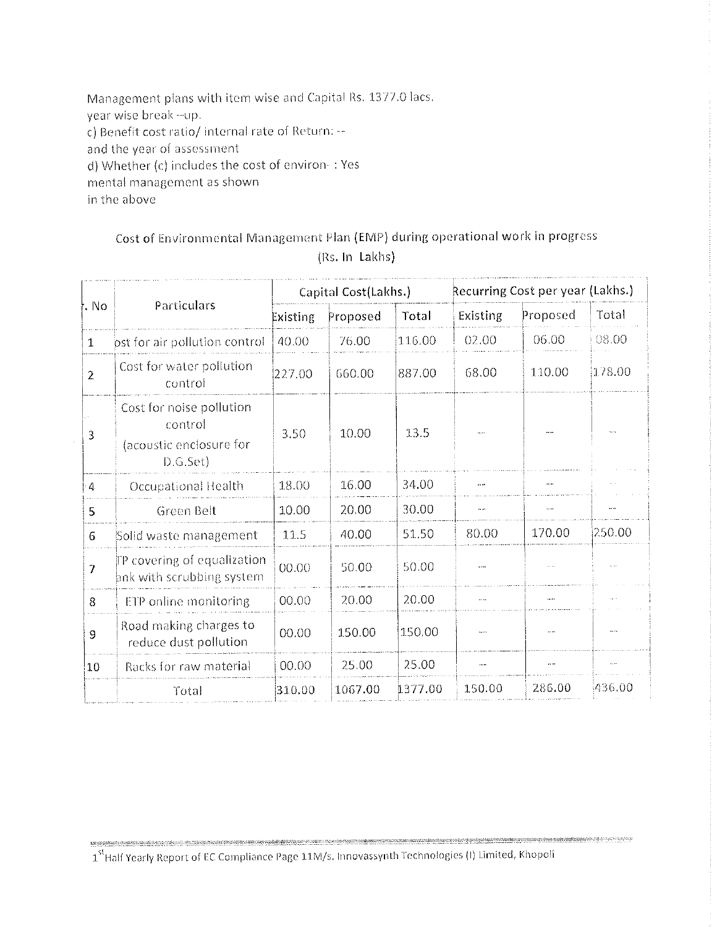Management plans with item wise and Capital Rs. 1377.0 lacs. year wise break--up. c) Benefit cost ratio/ internal rate of Return: -and the year of assessment d) Whether (c) includes the cost of environ-: Yes mental management as shown in the above

# Cost of Environmental Management Plan (EMP) during operational work in progress (Rs. In Lakhs)

|                           |                                                                            | Capital Cost(Lakhs.) |          | Recurring Cost per year (Lakhs.) |                      |                      |                |
|---------------------------|----------------------------------------------------------------------------|----------------------|----------|----------------------------------|----------------------|----------------------|----------------|
| No                        | Particulars                                                                | Existing             | Proposed | Total                            | <b>Existing</b>      | Proposed             | Total          |
| 1                         | ost for air pollution control                                              | 40.00                | 76.00    | 116.00                           | 02.00                | 06.00                | 08.00          |
| $\tilde{z}$               | Cost for water pollution<br>control                                        | 227.00               | 660.00   | 887.00                           | 68.00                | 110.00               | 178.00         |
| 3                         | Cost for noise pollution<br>control<br>(acoustic enclosure for<br>D.G.Set) | 3.50                 | 10.00    | 13.5                             |                      |                      |                |
| 4                         | Occupational Health                                                        | 18.00                | 16.00    | 34.00                            | $\cdots$             |                      |                |
| 5                         | Green Belt                                                                 | 10.00                | 20.00    | 30.00                            | $\ddot{\phantom{1}}$ | $\cdots$             | $\cdots$       |
| 6                         | Solid waste management                                                     | 11.5                 | 40.00    | 51.50                            | 80.00                | 170.00               | 250.00         |
| $\overline{\overline{z}}$ | TP covering of equalization<br>ank with scrubbing system                   | 00.00                | 50.00    | 50.00                            | المعاو               |                      |                |
| 8                         | ETP online monitoring                                                      | 00.00                | 20.00    | 20.00                            | $\cdots$             |                      | $\cdots$       |
| 9                         | Road making charges to<br>reduce dust pollution                            | 00.00                | 150.00   | 150.00                           |                      | $\ddotsc$            | $\overline{a}$ |
| 10                        | Racks for raw material                                                     | 00.00                | 25.00    | 25.00                            |                      | $\ddot{\phantom{a}}$ |                |
|                           | Total                                                                      | 310.00               | 1067.00  | 1377.00                          | 150.00               | 286.00               | 436.00         |

1<sup>st</sup> Half Yearly Report of EC Compliance Page 11M/s. Innovassynth Technologies (I) Limited, Khopoli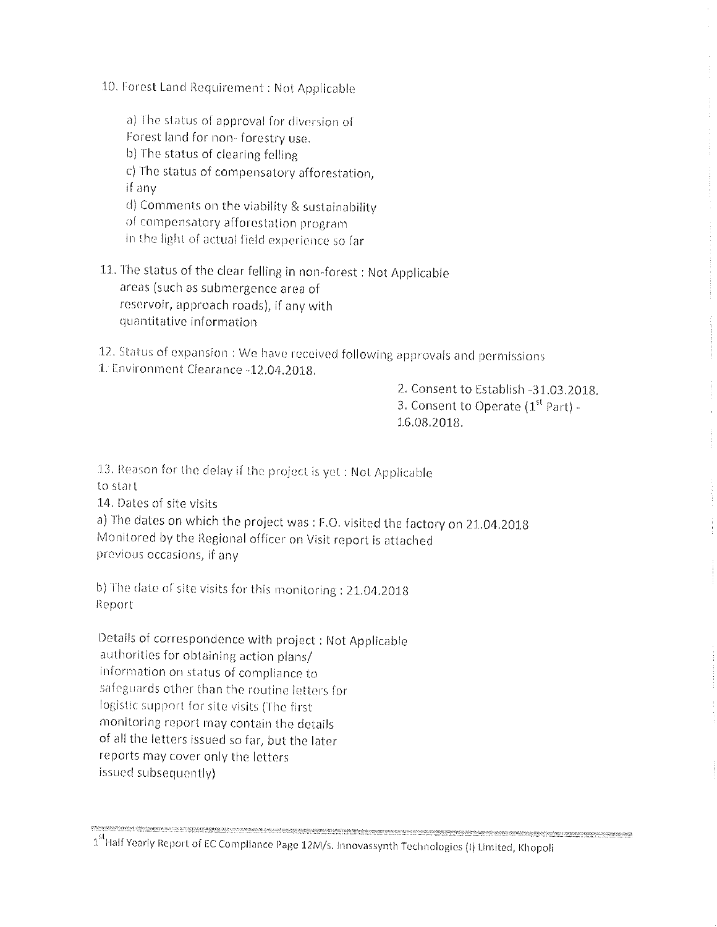10. Forest Land Requirement: Not Applicable

a) The status of approval for diversion of

Forest land for non-forestry use.

b) The status of clearing felling

c) The status of compensatory afforestation,

if any

d) Comments on the viability & sustainability

of compensatory afforestation program

in the light of actual field experience so far

11. The status of the clear felling in non-forest : Not Applicable areas (such as submergence area of reservoir, approach roads), if any with quantitative information

12. Status of expansion: We have received following approvals and permissions 1. Environment Clearance -12.04.2018.

> 2. Consent to Establish -31.03.2018. 3. Consent to Operate (1<sup>st</sup> Part) -16.08.2018.

13. Reason for the delay if the project is yet : Not Applicable

to start

14. Dates of site visits

a) The dates on which the project was : F.O. visited the factory on 21.04.2018 Monitored by the Regional officer on Visit report is attached previous occasions, if any

b) The date of site visits for this monitoring : 21.04.2018 Report

Details of correspondence with project : Not Applicable authorities for obtaining action plans/ information on status of compliance to safeguards other than the routine letters for logistic support for site visits (The first monitoring report may contain the details of all the letters issued so far, but the later reports may cover only the letters issued subsequently)

1<sup>st</sup> Half Yearly Report of EC Compliance Page 12M/s. Innovassynth Technologies (I) Limited, Khopoli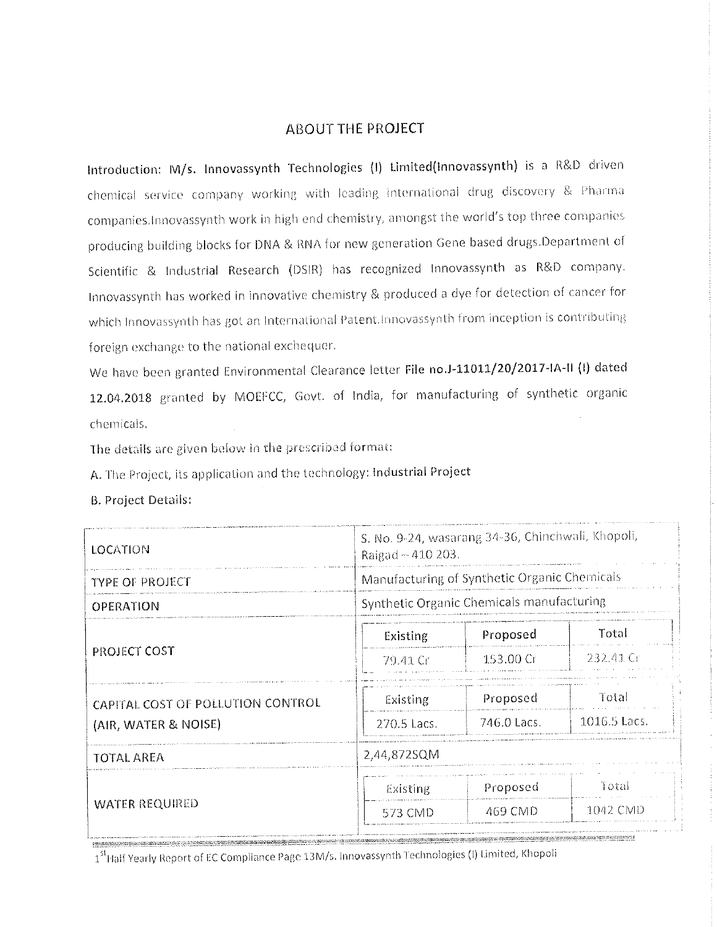# **ABOUT THE PROJECT**

Introduction: M/s. Innovassynth Technologies (I) Limited(Innovassynth) is a R&D driven chemical service company working with leading international drug discovery & Pharma companies. Innovassynth work in high end chemistry, amongst the world's top three companies producing building blocks for DNA & RNA for new generation Gene based drugs.Department of Scientific & Industrial Research (DSIR) has recognized Innovassynth as R&D company. Innovassynth has worked in innovative chemistry & produced a dye for detection of cancer for which Innovassynth has got an International Patent.Innovassynth from inception is contributing foreign exchange to the national exchequer.

We have been granted Environmental Clearance letter File no.J-11011/20/2017-IA-II (I) dated 12.04.2018 granted by MOEFCC, Govt. of India, for manufacturing of synthetic organic chemicals.

The details are given below in the prescribed format:

A. The Project, its application and the technology: Industrial Project

**B. Project Details:** 

| LOCATION                          | S. No. 9-24, wasarang 34-36, Chinchwali, Khopoli,<br>Raigad ~ 410 203. |                                           |              |  |
|-----------------------------------|------------------------------------------------------------------------|-------------------------------------------|--------------|--|
| TYPE OF PROJECT                   | Manufacturing of Synthetic Organic Chemicals                           |                                           |              |  |
| OPERATION                         |                                                                        | Synthetic Organic Chemicals manufacturing |              |  |
|                                   | Existing                                                               | Proposed                                  | Total        |  |
| PROJECT COST                      | 79.41 Gr                                                               | 153,00 Cr                                 | -232.41 Gr   |  |
| CAPITAL COST OF POLLUTION CONTROL | Existing                                                               | Proposed                                  | Total        |  |
| (AIR, WATER & NOISE)              | 270.5 Lacs.                                                            | -746.0 Lacs.                              | 1016.5 Lacs. |  |
| TOTAL AREA                        | 2,44,872SQM                                                            |                                           |              |  |
|                                   | Existing                                                               | Proposed                                  | Total        |  |
| <b>WATER REQUIRED</b>             | 573 CMD                                                                | 469 CMD                                   | 1042 CMD     |  |
|                                   |                                                                        |                                           |              |  |

1<sup>st</sup> Half Yearly Report of EC Compliance Page 13M/s. Innovassynth Technologies (I) Limited, Khopoli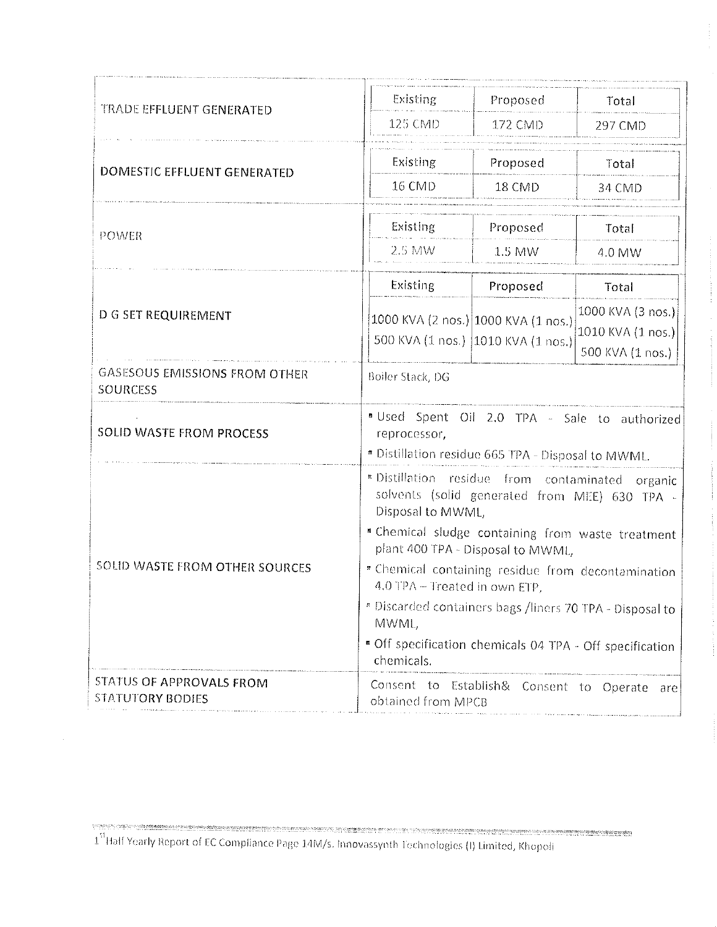| TRADE EFFLUENT GENERATED                                | Existing                                                                                                                  | Proposed                                                                   | Total                                                       |  |
|---------------------------------------------------------|---------------------------------------------------------------------------------------------------------------------------|----------------------------------------------------------------------------|-------------------------------------------------------------|--|
|                                                         | 125 CMD                                                                                                                   | 172 CMD                                                                    | 297 CMD                                                     |  |
| <b>DOMESTIC EFFLUENT GENERATED</b>                      | Existing                                                                                                                  | Proposed                                                                   | Total                                                       |  |
|                                                         | 16 CMD                                                                                                                    | 18 CMD                                                                     | 34 CMD                                                      |  |
| POWER                                                   | Existing                                                                                                                  | Proposed                                                                   | Total                                                       |  |
|                                                         | 2.5 MW                                                                                                                    | 1.5 MW                                                                     | 4.0 MW                                                      |  |
|                                                         | Existing                                                                                                                  | Proposed                                                                   | Total                                                       |  |
| D G SET REQUIREMENT                                     |                                                                                                                           | (1000 KVA (2 nos.) 1000 KVA (1 nos.)<br>500 KVA (1 nos.) 1010 KVA (1 nos.) | 1000 KVA (3 nos.)<br>1010 KVA (1 nos.).<br>500 KVA (1 nos.) |  |
| <b>GASESOUS EMISSIONS FROM OTHER</b><br><b>SOURCESS</b> | Boiler Stack, DG                                                                                                          |                                                                            |                                                             |  |
| <b>SOLID WASTE FROM PROCESS</b>                         | "Used Spent Oil 2.0 TPA - Sale to authorized<br>reprocessor,<br>* Distillation residue 665 TPA - Disposal to MWML.        |                                                                            |                                                             |  |
|                                                         | * Distillation residue from contaminated<br>organic<br>solvents (solid generated from MEE) 630 TPA -<br>Disposal to MWML, |                                                                            |                                                             |  |
|                                                         | " Chemical sludge containing from waste treatment<br>plant 400 TPA - Disposal to MWML,                                    |                                                                            |                                                             |  |
| SOLID WASTE FROM OTHER SOURCES                          | " Chemical containing residue from decontamination<br>4.0 TPA - Treated in own ETP,                                       |                                                                            |                                                             |  |
|                                                         | * Discarded containers bags /liners 70 TPA - Disposal to<br>MWML,                                                         |                                                                            |                                                             |  |
|                                                         | " Off specification chemicals 04 TPA - Off specification<br>chemicals.                                                    |                                                                            |                                                             |  |
| STATUS OF APPROVALS FROM<br><b>STATUTORY BODIES</b>     | Consent to<br>Establish& Consent to Operate<br>are<br>obtained from MPCB                                                  |                                                                            |                                                             |  |

<sup>1&</sup>lt;sup>51</sup> Half Yearly Report of EC Compliance Page 14M/s. Innovassynth Technologies (I) Limited, Khopoli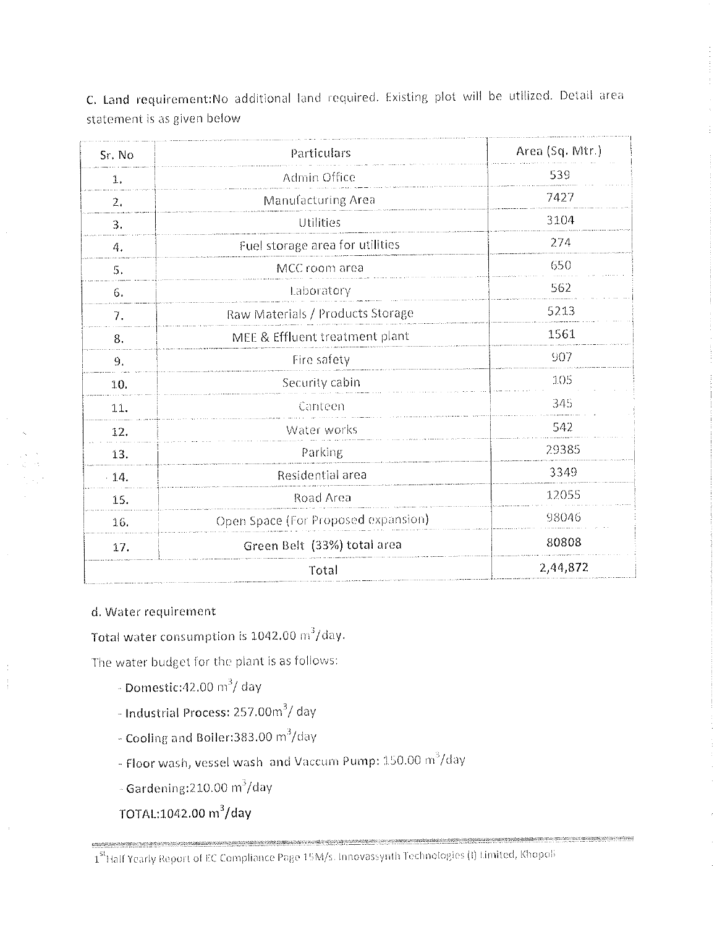| Sr. No | Particulars                         | Area (Sq. Mtr.) |
|--------|-------------------------------------|-----------------|
| 1.     | Admin Office                        | 539             |
| 2.     | Manufacturing Area                  | 7427            |
| 3.     | Utilities                           | 3104            |
| 4.     | Fuel storage area for utilities     | 274             |
| 5.     | MCC room area                       | 650             |
| 6.     | Laboratory                          | 562             |
| 7.     | Raw Materials / Products Storage    | 5213            |
| 8.     | MEE & Effluent treatment plant      | 1561            |
| 9.     | Fire safety                         | 907             |
| 10.    | Security cabin                      | 105             |
| 11.    | Canteen                             | 345             |
| 12.    | Water works                         | 542             |
| 13.    | Parking                             | 29385           |
| $-14.$ | Residential area                    | 3349            |
| 15.    | Road Area                           | 12055           |
| 16.    | Open Space (For Proposed expansion) | 98046           |
| 17.    | Green Belt (33%) total area         | 80808           |
|        | Total                               | 2,44,872        |

C. Land requirement: No additional land required. Existing plot will be utilized. Detail area statement is as given below

# d. Water requirement

Total water consumption is 1042.00 m<sup>3</sup>/day.

The water budget for the plant is as follows:

- Domestic: 42.00  $\text{m}^3/\text{day}$
- Industrial Process: 257.00m<sup>3</sup>/ day
- Cooling and Boller:383.00 m $^{3}/$ day
- Floor wash, vessel wash and Vaccum Pump: 150.00 m<sup>3</sup>/day
- $\sim$  Gardening: 210.00 m<sup>3</sup>/day
- TOTAL:1042.00 m<sup>3</sup>/day

<sup>1&</sup>lt;sup>st</sup> Half Yearly Report of EC Compliance Page 15M/s. Innovassynth Technologies (I) Limited, Khopoli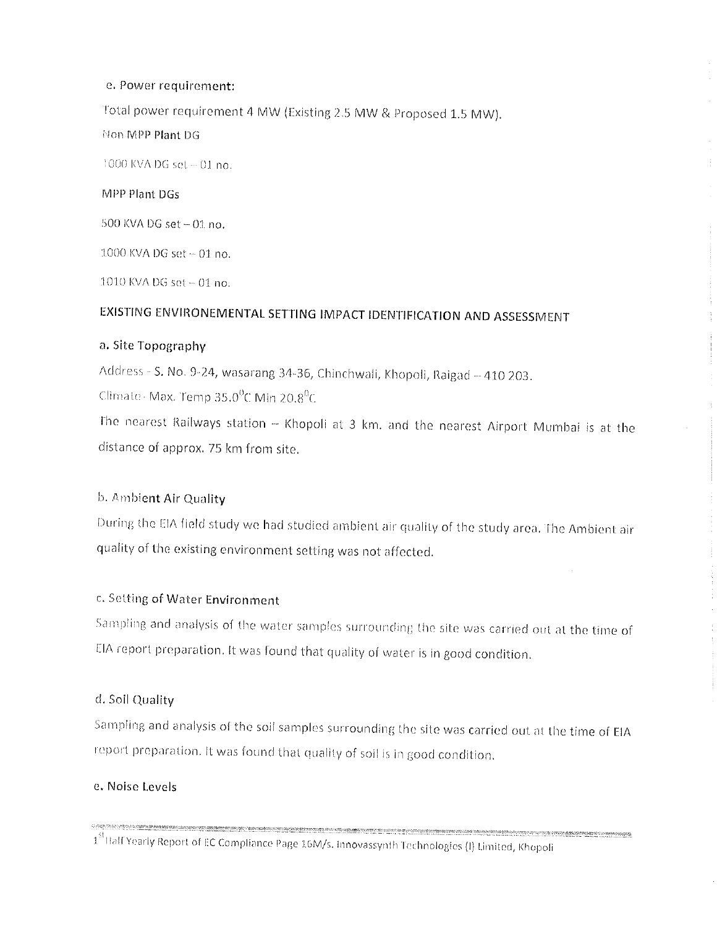# e. Power requirement:

Total power requirement 4 MW (Existing 2.5 MW & Proposed 1.5 MW).

Non MPP Plant DG

1000 KVA DG set ~ 01 no.

# MPP Plant DGs

500 KVA DG set - 01 no.

1000 KVA DG set ~ 01 no.

1010 KVA DG set ~ 01 no.

# EXISTING ENVIRONEMENTAL SETTING IMPACT IDENTIFICATION AND ASSESSMENT

# a. Site Topography

Address - S. No. 9-24, wasarang 34-36, Chinchwali, Khopoli, Raigad - 410 203.

Climate Max. Temp  $35.0^0$ C Min 20.8<sup>0</sup>C

The nearest Railways station - Khopoli at 3 km, and the nearest Airport Mumbai is at the distance of approx. 75 km from site.

# b. Ambient Air Quality

During the EIA field study we had studied ambient air quality of the study area. The Ambient air quality of the existing environment setting was not affected.

# c. Setting of Water Environment

Sampling and analysis of the water samples surrounding the site was carried out at the time of EIA report preparation. It was found that quality of water is in good condition.

# d. Soil Quality

Sampling and analysis of the soil samples surrounding the site was carried out at the time of EIA report preparation. It was found that quality of soil is in good condition.

# e. Noise Levels

1<sup>st</sup> Half Yearly Report of EC Compliance Page 16M/s. Innovassynth Technologies (I) Limited, Khopoli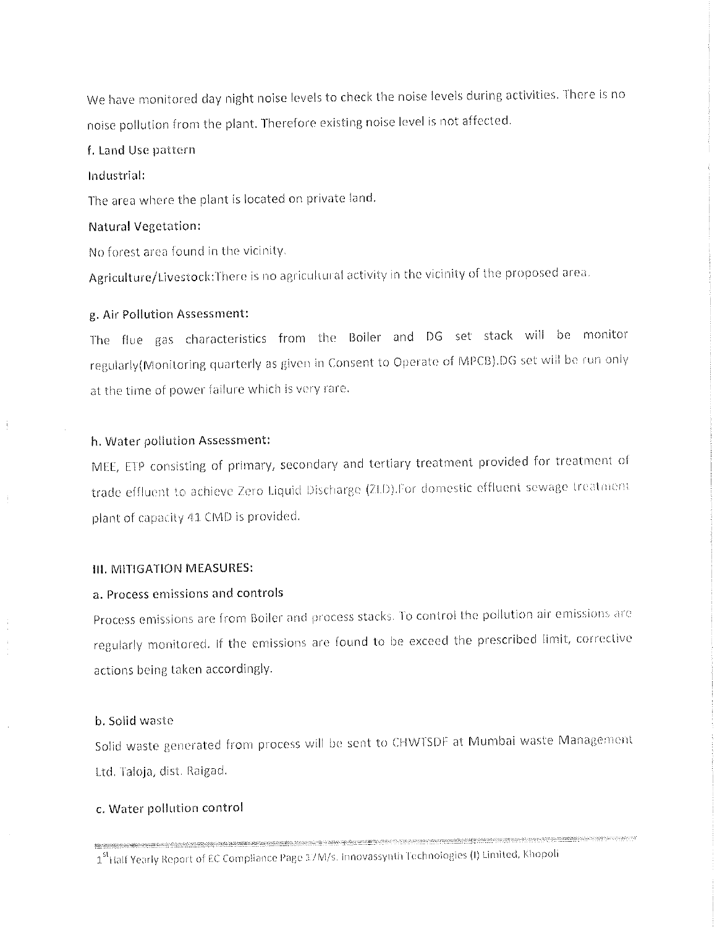We have monitored day night noise levels to check the noise levels during activities. There is no noise pollution from the plant. Therefore existing noise level is not affected.

#### f. Land Use pattern

## Industrial:

The area where the plant is located on private land.

#### **Natural Vegetation:**

No forest area found in the vicinity.

Agriculture/Livestock:There is no agricultural activity in the vicinity of the proposed area.

#### g. Air Pollution Assessment:

The flue gas characteristics from the Boiler and DG set stack will be monitor regularly (Monitoring quarterly as given in Consent to Operate of MPCB). DG set will be run only at the time of power failure which is very rare.

# h. Water pollution Assessment:

MEE, ETP consisting of primary, secondary and tertiary treatment provided for treatment of trade effluent to achieve Zero Liquid Discharge (ZLD).For domestic effluent sewage treatment plant of capacity 41 CMD is provided.

#### **III. MITIGATION MEASURES:**

# a. Process emissions and controls

Process emissions are from Boiler and process stacks. To control the pollution air emissions are regularly monitored. If the emissions are found to be exceed the prescribed limit, corrective actions being taken accordingly.

#### b. Solid waste

Solid waste generated from process will be sent to CHWTSDF at Mumbai waste Management Ltd. Taloja, dist. Raigad.

#### c. Water pollution control

**Maximum Andreal Andrews Andrews Andrews Andrews Andrews Andrews Andrews Andrews Andrews Andrews Andrews Andrews Andrews Andrews Andrews Andrews Andrews Andrews Andrews Andrews Andrews Andrews Andrews Andrews Andrews Andre** 1<sup>st</sup> Half Yearly Report of EC Compliance Page 17M/s. Innovassynth Technologies (I) Limited, Khopoli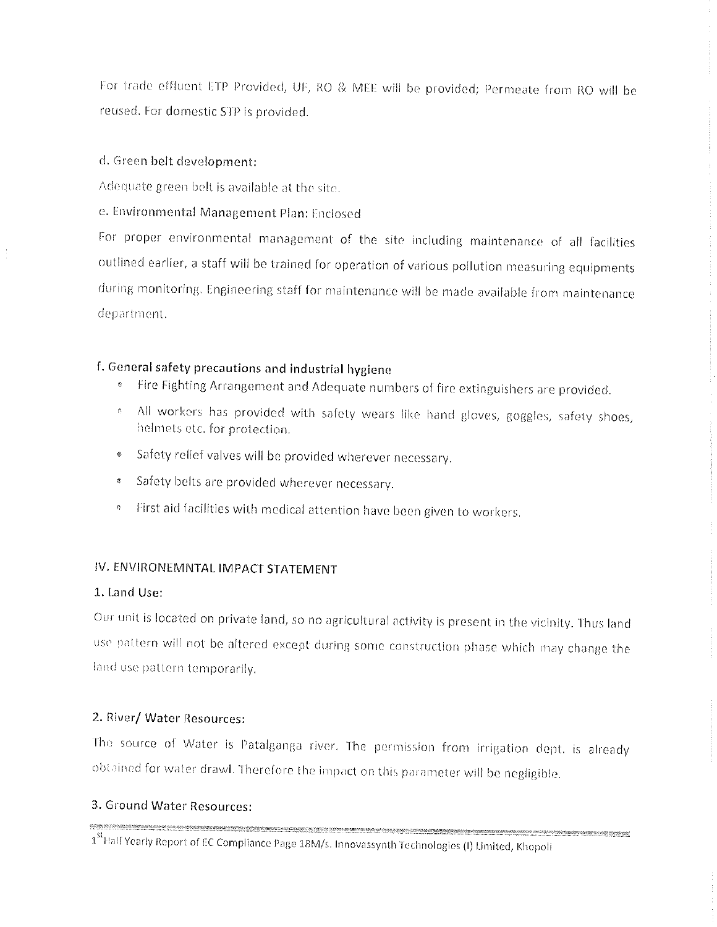For trade effluent ETP Provided, UF, RO & MEE will be provided; Permeate from RO will be reused. For domestic STP is provided.

# d. Green belt development:

Adequate green belt is available at the site.

e. Environmental Management Plan: Enclosed

For proper environmental management of the site including maintenance of all facilities outlined earlier, a staff will be trained for operation of various pollution measuring equipments during monitoring. Engineering staff for maintenance will be made available from maintenance department.

# f. General safety precautions and industrial hygiene

- <sup>e</sup> Fire Fighting Arrangement and Adequate numbers of fire extinguishers are provided.
- . All workers has provided with safety wears like hand gloves, goggles, safety shoes, helmets etc. for protection.
- \* Safety relief valves will be provided wherever necessary.
- \* Safety belts are provided wherever necessary.
- <sup>6</sup> First aid facilities with medical attention have been given to workers.

# IV. ENVIRONEMNTAL IMPACT STATEMENT

# 1. Land Use:

Our unit is located on private land, so no agricultural activity is present in the vicinity. Thus land use pattern will not be altered except during some construction phase which may change the land use pattern temporarily.

# 2. River/ Water Resources:

The source of Water is Patalganga river. The permission from irrigation dept. is already obtained for water drawl. Therefore the impact on this parameter will be negligible.

# 3. Ground Water Resources:

manners on synaptic information associated to the composite constitution of the contraction of the contract of the contract of the contract of the composite contract of the composite of the contract of the contract of the .<br>International productions and the component of the component of the component of the component of the componen 1<sup>st</sup> Half Yearly Report of EC Compliance Page 18M/s. Innovassynth Technologies (I) Limited, Khopoli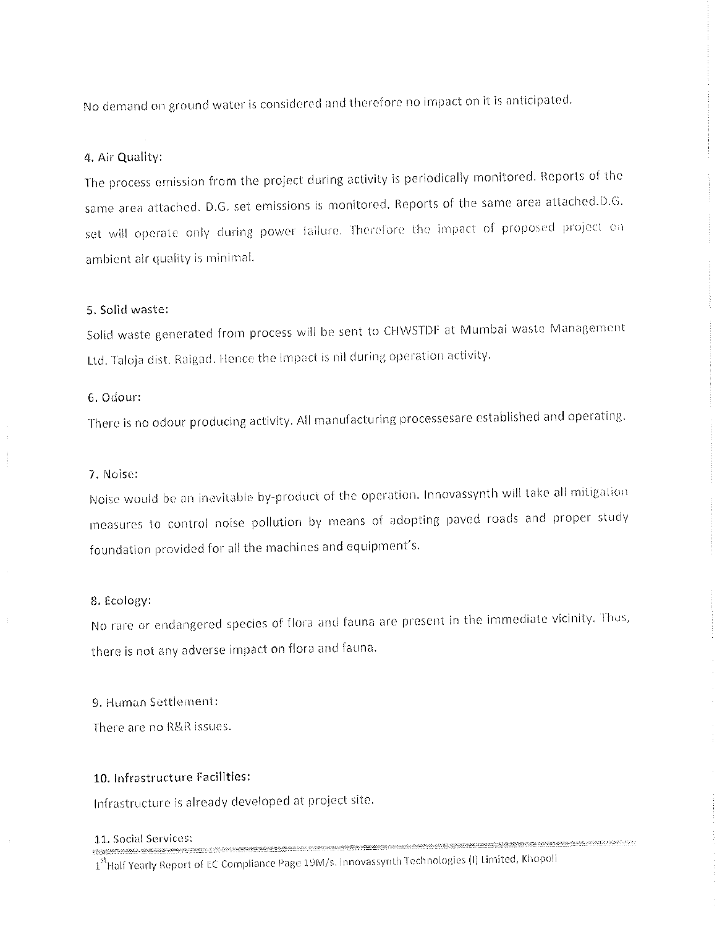No demand on ground water is considered and therefore no impact on it is anticipated.

#### 4. Air Quality:

The process emission from the project during activity is periodically monitored. Reports of the same area attached. D.G. set emissions is monitored. Reports of the same area attached.D.G. set will operate only during power failure. Therefore the impact of proposed project on ambient air quality is minimal.

#### 5. Solid waste:

Solid waste generated from process will be sent to CHWSTDF at Mumbai waste Management Ltd. Taloja dist. Raigad. Hence the impact is nil during operation activity.

## 6. Odour:

There is no odour producing activity. All manufacturing processesare established and operating.

#### 7. Noise:

Noise would be an inevitable by-product of the operation. Innovassynth will take all mitigation measures to control noise pollution by means of adopting paved roads and proper study foundation provided for all the machines and equipment's.

#### 8. Ecology:

No rare or endangered species of flora and fauna are present in the immediate vicinity. Thus, there is not any adverse impact on flora and fauna.

9. Human Settlement:

There are no R&R issues.

#### 10. Infrastructure Facilities:

Infrastructure is already developed at project site.

#### 11. Social Services:

1<sup>st</sup> Half Yearly Report of EC Compliance Page 19M/s. Innovassynth Technologies (I) Limited, Khopoli